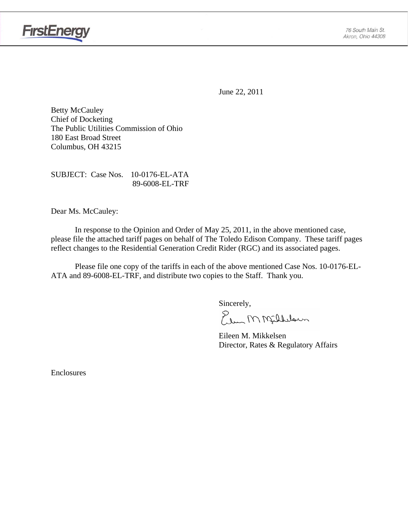

June 22, 2011

Betty McCauley Chief of Docketing The Public Utilities Commission of Ohio 180 East Broad Street Columbus, OH 43215

SUBJECT: Case Nos. 10-0176-EL-ATA 89-6008-EL-TRF

Dear Ms. McCauley:

 In response to the Opinion and Order of May 25, 2011, in the above mentioned case, please file the attached tariff pages on behalf of The Toledo Edison Company. These tariff pages reflect changes to the Residential Generation Credit Rider (RGC) and its associated pages.

Please file one copy of the tariffs in each of the above mentioned Case Nos. 10-0176-EL-ATA and 89-6008-EL-TRF, and distribute two copies to the Staff. Thank you.

Sincerely,

Elem M Milleloun

 Eileen M. Mikkelsen Director, Rates & Regulatory Affairs

Enclosures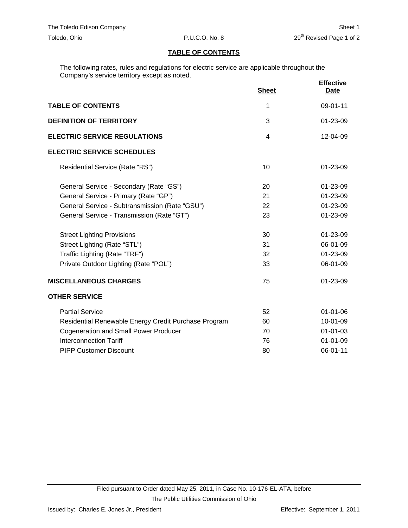#### **TABLE OF CONTENTS**

The following rates, rules and regulations for electric service are applicable throughout the Company's service territory except as noted.

|                                                      | <b>Sheet</b>   | <b>Effective</b><br><b>Date</b> |
|------------------------------------------------------|----------------|---------------------------------|
| <b>TABLE OF CONTENTS</b>                             | 1              | 09-01-11                        |
| <b>DEFINITION OF TERRITORY</b>                       | 3              | 01-23-09                        |
| <b>ELECTRIC SERVICE REGULATIONS</b>                  | $\overline{4}$ | 12-04-09                        |
| <b>ELECTRIC SERVICE SCHEDULES</b>                    |                |                                 |
| Residential Service (Rate "RS")                      | 10             | 01-23-09                        |
| General Service - Secondary (Rate "GS")              | 20             | 01-23-09                        |
| General Service - Primary (Rate "GP")                | 21             | 01-23-09                        |
| General Service - Subtransmission (Rate "GSU")       | 22             | 01-23-09                        |
| General Service - Transmission (Rate "GT")           | 23             | 01-23-09                        |
| <b>Street Lighting Provisions</b>                    | 30             | 01-23-09                        |
| Street Lighting (Rate "STL")                         | 31             | 06-01-09                        |
| Traffic Lighting (Rate "TRF")                        | 32             | 01-23-09                        |
| Private Outdoor Lighting (Rate "POL")                | 33             | 06-01-09                        |
| <b>MISCELLANEOUS CHARGES</b>                         | 75             | 01-23-09                        |
| <b>OTHER SERVICE</b>                                 |                |                                 |
| <b>Partial Service</b>                               | 52             | $01 - 01 - 06$                  |
| Residential Renewable Energy Credit Purchase Program | 60             | 10-01-09                        |
| <b>Cogeneration and Small Power Producer</b>         | 70             | $01 - 01 - 03$                  |
| <b>Interconnection Tariff</b>                        | 76             | $01 - 01 - 09$                  |
| <b>PIPP Customer Discount</b>                        | 80             | 06-01-11                        |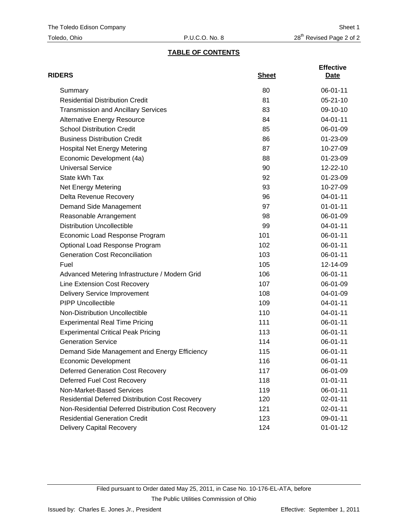## **TABLE OF CONTENTS**

| <b>RIDERS</b>                                          | <b>Sheet</b> | <b>Effective</b><br>Date |
|--------------------------------------------------------|--------------|--------------------------|
| Summary                                                | 80           | 06-01-11                 |
| <b>Residential Distribution Credit</b>                 | 81           | $05 - 21 - 10$           |
| <b>Transmission and Ancillary Services</b>             | 83           | 09-10-10                 |
| <b>Alternative Energy Resource</b>                     | 84           | 04-01-11                 |
| <b>School Distribution Credit</b>                      | 85           | 06-01-09                 |
| <b>Business Distribution Credit</b>                    | 86           | 01-23-09                 |
| <b>Hospital Net Energy Metering</b>                    | 87           | 10-27-09                 |
| Economic Development (4a)                              | 88           | 01-23-09                 |
| <b>Universal Service</b>                               | 90           | 12-22-10                 |
| State kWh Tax                                          | 92           | 01-23-09                 |
| Net Energy Metering                                    | 93           | 10-27-09                 |
| Delta Revenue Recovery                                 | 96           | 04-01-11                 |
| Demand Side Management                                 | 97           | $01 - 01 - 11$           |
| Reasonable Arrangement                                 | 98           | 06-01-09                 |
| <b>Distribution Uncollectible</b>                      | 99           | $04 - 01 - 11$           |
| Economic Load Response Program                         | 101          | 06-01-11                 |
| Optional Load Response Program                         | 102          | 06-01-11                 |
| <b>Generation Cost Reconciliation</b>                  | 103          | 06-01-11                 |
| Fuel                                                   | 105          | 12-14-09                 |
| Advanced Metering Infrastructure / Modern Grid         | 106          | 06-01-11                 |
| Line Extension Cost Recovery                           | 107          | 06-01-09                 |
| <b>Delivery Service Improvement</b>                    | 108          | 04-01-09                 |
| <b>PIPP Uncollectible</b>                              | 109          | $04 - 01 - 11$           |
| Non-Distribution Uncollectible                         | 110          | 04-01-11                 |
| <b>Experimental Real Time Pricing</b>                  | 111          | 06-01-11                 |
| <b>Experimental Critical Peak Pricing</b>              | 113          | 06-01-11                 |
| <b>Generation Service</b>                              | 114          | 06-01-11                 |
| Demand Side Management and Energy Efficiency           | 115          | 06-01-11                 |
| <b>Economic Development</b>                            | 116          | 06-01-11                 |
| <b>Deferred Generation Cost Recovery</b>               | 117          | 06-01-09                 |
| Deferred Fuel Cost Recovery                            | 118          | $01 - 01 - 11$           |
| Non-Market-Based Services                              | 119          | 06-01-11                 |
| <b>Residential Deferred Distribution Cost Recovery</b> | 120          | 02-01-11                 |
| Non-Residential Deferred Distribution Cost Recovery    | 121          | $02 - 01 - 11$           |
| <b>Residential Generation Credit</b>                   | 123          | 09-01-11                 |
| <b>Delivery Capital Recovery</b>                       | 124          | $01 - 01 - 12$           |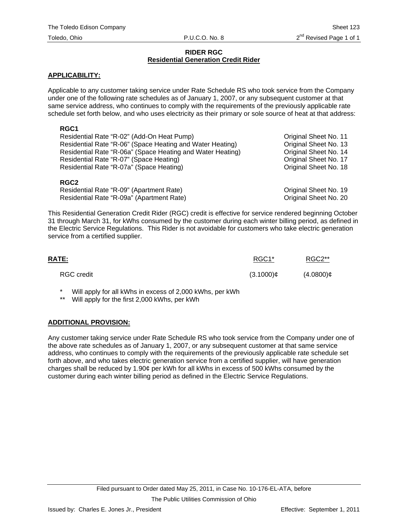#### **RIDER RGC Residential Generation Credit Rider**

#### **APPLICABILITY:**

Applicable to any customer taking service under Rate Schedule RS who took service from the Company under one of the following rate schedules as of January 1, 2007, or any subsequent customer at that same service address, who continues to comply with the requirements of the previously applicable rate schedule set forth below, and who uses electricity as their primary or sole source of heat at that address:

### **RGC1**

| Residential Rate "R-02" (Add-On Heat Pump)                 | Original Sheet No. 11 |
|------------------------------------------------------------|-----------------------|
| Residential Rate "R-06" (Space Heating and Water Heating)  | Original Sheet No. 13 |
| Residential Rate "R-06a" (Space Heating and Water Heating) | Original Sheet No. 14 |
| Residential Rate "R-07" (Space Heating)                    | Original Sheet No. 17 |
| Residential Rate "R-07a" (Space Heating)                   | Original Sheet No. 18 |
| <b>RGC2</b>                                                |                       |

| .                                         |                       |
|-------------------------------------------|-----------------------|
| Residential Rate "R-09" (Apartment Rate)  | Original Sheet No. 19 |
| Residential Rate "R-09a" (Apartment Rate) | Original Sheet No. 20 |

This Residential Generation Credit Rider (RGC) credit is effective for service rendered beginning October 31 through March 31, for kWhs consumed by the customer during each winter billing period, as defined in the Electric Service Regulations. This Rider is not avoidable for customers who take electric generation service from a certified supplier.

| <b>RATE:</b>      | RGC1*        | RGC2**       |
|-------------------|--------------|--------------|
| <b>RGC</b> credit | $(3.1000)$ ¢ | $(4.0800)$ ¢ |

Will apply for all kWhs in excess of 2,000 kWhs, per kWh

Will apply for the first 2,000 kWhs, per kWh

### **ADDITIONAL PROVISION:**

Any customer taking service under Rate Schedule RS who took service from the Company under one of the above rate schedules as of January 1, 2007, or any subsequent customer at that same service address, who continues to comply with the requirements of the previously applicable rate schedule set forth above, and who takes electric generation service from a certified supplier, will have generation charges shall be reduced by 1.90¢ per kWh for all kWhs in excess of 500 kWhs consumed by the customer during each winter billing period as defined in the Electric Service Regulations.